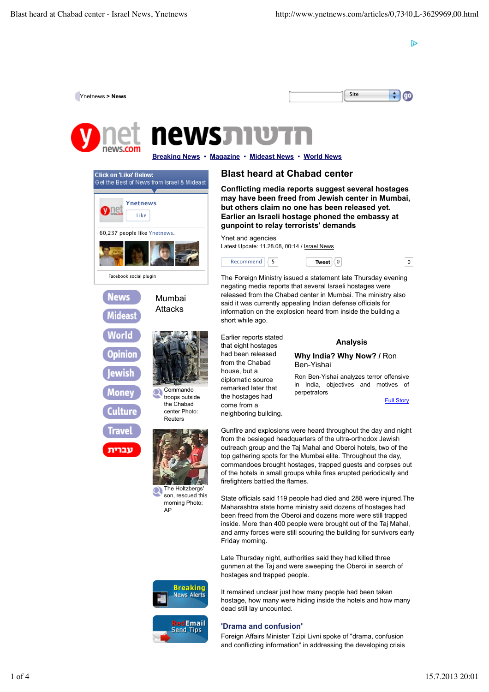D